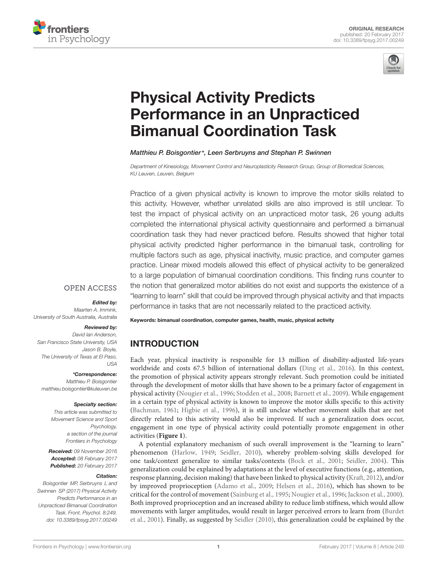



# Physical Activity Predicts [Performance in an Unpracticed](http://journal.frontiersin.org/article/10.3389/fpsyg.2017.00249/abstract) Bimanual Coordination Task

### [Matthieu P. Boisgontier](http://loop.frontiersin.org/people/117993/overview)\*, Leen Serbruyns and [Stephan P. Swinnen](http://loop.frontiersin.org/people/47647/overview)

Department of Kinesiology, Movement Control and Neuroplasticity Research Group, Group of Biomedical Sciences, KU Leuven, Leuven, Belgium

Practice of a given physical activity is known to improve the motor skills related to this activity. However, whether unrelated skills are also improved is still unclear. To test the impact of physical activity on an unpracticed motor task, 26 young adults completed the international physical activity questionnaire and performed a bimanual coordination task they had never practiced before. Results showed that higher total physical activity predicted higher performance in the bimanual task, controlling for multiple factors such as age, physical inactivity, music practice, and computer games practice. Linear mixed models allowed this effect of physical activity to be generalized to a large population of bimanual coordination conditions. This finding runs counter to the notion that generalized motor abilities do not exist and supports the existence of a "learning to learn" skill that could be improved through physical activity and that impacts performance in tasks that are not necessarily related to the practiced activity.

# **OPEN ACCESS**

#### Edited by:

Maarten A. Immink, University of South Australia, Australia

### Reviewed by:

David Ian Anderson, San Francisco State University, USA Jason B. Boyle, The University of Texas at El Paso, USA

### \*Correspondence:

Matthieu P. Boisgontier matthieu.boisgontier@kuleuven.be

#### Specialty section:

This article was submitted to Movement Science and Sport Psychology, a section of the journal Frontiers in Psychology

Received: 09 November 2016 Accepted: 08 February 2017 Published: 20 February 2017

#### Citation:

Boisgontier MP, Serbruyns L and Swinnen SP (2017) Physical Activity Predicts Performance in an Unpracticed Bimanual Coordination Task. Front. Psychol. 8:249. doi: [10.3389/fpsyg.2017.00249](https://doi.org/10.3389/fpsyg.2017.00249) Keywords: bimanual coordination, computer games, health, music, physical activity

# INTRODUCTION

Each year, physical inactivity is responsible for 13 million of disability-adjusted life-years worldwide and costs 67.5 billion of international dollars [\(Ding et al.,](#page-4-0) [2016\)](#page-4-0). In this context, the promotion of physical activity appears strongly relevant. Such promotion could be initiated through the development of motor skills that have shown to be a primary factor of engagement in physical activity [\(Nougier et al.,](#page-4-1) [1996;](#page-4-1) [Stodden et al.,](#page-4-2) [2008;](#page-4-2) [Barnett et al.,](#page-4-3) [2009\)](#page-4-3). While engagement in a certain type of physical activity is known to improve the motor skills specific to this activity [\(Bachman,](#page-4-4) [1961;](#page-4-4) [Higbie et al.,](#page-4-5) [1996\)](#page-4-5), it is still unclear whether movement skills that are not directly related to this activity would also be improved. If such a generalization does occur, engagement in one type of physical activity could potentially promote engagement in other activities (**[Figure 1](#page-1-0)**).

A potential explanatory mechanism of such overall improvement is the "learning to learn" phenomenon [\(Harlow,](#page-4-6) [1949;](#page-4-6) [Seidler,](#page-4-7) [2010\)](#page-4-7), whereby problem-solving skills developed for one task/context generalize to similar tasks/contexts [\(Bock et al.,](#page-4-8) [2001;](#page-4-8) [Seidler,](#page-4-9) [2004\)](#page-4-9). This generalization could be explained by adaptations at the level of executive functions (e.g., attention, response planning, decision making) that have been linked to physical activity [\(Kraft,](#page-4-10) [2012\)](#page-4-10), and/or by improved proprioception [\(Adamo et al.,](#page-4-11) [2009;](#page-4-11) [Helsen et al.,](#page-4-12) [2016\)](#page-4-12), which has shown to be critical for the control of movement [\(Sainburg et al.,](#page-4-13) [1995;](#page-4-13) [Nougier et al.,](#page-4-1) [1996;](#page-4-1) [Jackson et al.,](#page-4-14) [2000\)](#page-4-14). Both improved proprioception and an increased ability to reduce limb stiffness, which would allow movements with larger amplitudes, would result in larger perceived errors to learn from [\(Burdet](#page-4-15) [et al.,](#page-4-15) [2001\)](#page-4-15). Finally, as suggested by [Seidler](#page-4-7) [\(2010\)](#page-4-7), this generalization could be explained by the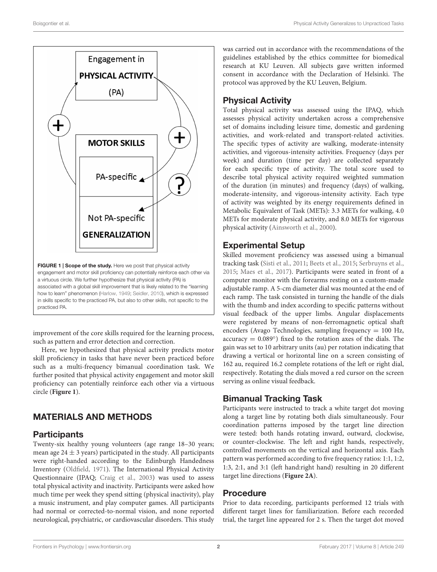

<span id="page-1-0"></span>improvement of the core skills required for the learning process, such as pattern and error detection and correction.

Here, we hypothesized that physical activity predicts motor skill proficiency in tasks that have never been practiced before such as a multi-frequency bimanual coordination task. We further posited that physical activity engagement and motor skill proficiency can potentially reinforce each other via a virtuous circle (**[Figure 1](#page-1-0)**).

# MATERIALS AND METHODS

# **Participants**

Twenty-six healthy young volunteers (age range 18–30 years; mean age  $24 \pm 3$  years) participated in the study. All participants were right-handed according to the Edinburgh Handedness Inventory [\(Oldfield,](#page-4-16) [1971\)](#page-4-16). The International Physical Activity Questionnaire (IPAQ; [Craig et al.,](#page-4-17) [2003\)](#page-4-17) was used to assess total physical activity and inactivity. Participants were asked how much time per week they spend sitting (physical inactivity), play a music instrument, and play computer games. All participants had normal or corrected-to-normal vision, and none reported neurological, psychiatric, or cardiovascular disorders. This study was carried out in accordance with the recommendations of the guidelines established by the ethics committee for biomedical research at KU Leuven. All subjects gave written informed consent in accordance with the Declaration of Helsinki. The protocol was approved by the KU Leuven, Belgium.

# Physical Activity

Total physical activity was assessed using the IPAQ, which assesses physical activity undertaken across a comprehensive set of domains including leisure time, domestic and gardening activities, and work-related and transport-related activities. The specific types of activity are walking, moderate-intensity activities, and vigorous-intensity activities. Frequency (days per week) and duration (time per day) are collected separately for each specific type of activity. The total score used to describe total physical activity required weighted summation of the duration (in minutes) and frequency (days) of walking, moderate-intensity, and vigorous-intensity activity. Each type of activity was weighted by its energy requirements defined in Metabolic Equivalent of Task (METs): 3.3 METs for walking, 4.0 METs for moderate physical activity, and 8.0 METs for vigorous physical activity [\(Ainsworth et al.,](#page-4-18) [2000\)](#page-4-18).

# Experimental Setup

Skilled movement proficiency was assessed using a bimanual tracking task [\(Sisti et al.,](#page-4-19) [2011;](#page-4-19) [Beets et al.,](#page-4-20) [2015;](#page-4-20) [Serbruyns et al.,](#page-4-21) [2015;](#page-4-21) [Maes et al.,](#page-4-22) [2017\)](#page-4-22). Participants were seated in front of a computer monitor with the forearms resting on a custom-made adjustable ramp. A 5-cm diameter dial was mounted at the end of each ramp. The task consisted in turning the handle of the dials with the thumb and index according to specific patterns without visual feedback of the upper limbs. Angular displacements were registered by means of non-ferromagnetic optical shaft encoders (Avago Technologies, sampling frequency  $= 100$  Hz,  $accuracy = 0.089°$ ) fixed to the rotation axes of the dials. The gain was set to 10 arbitrary units (au) per rotation indicating that drawing a vertical or horizontal line on a screen consisting of 162 au, required 16.2 complete rotations of the left or right dial, respectively. Rotating the dials moved a red cursor on the screen serving as online visual feedback.

# Bimanual Tracking Task

Participants were instructed to track a white target dot moving along a target line by rotating both dials simultaneously. Four coordination patterns imposed by the target line direction were tested: both hands rotating inward, outward, clockwise, or counter-clockwise. The left and right hands, respectively, controlled movements on the vertical and horizontal axis. Each pattern was performed according to five frequency ratios: 1:1, 1:2, 1:3, 2:1, and 3:1 (left hand:right hand) resulting in 20 different target line directions (**[Figure 2A](#page-2-0)**).

# Procedure

Prior to data recording, participants performed 12 trials with different target lines for familiarization. Before each recorded trial, the target line appeared for 2 s. Then the target dot moved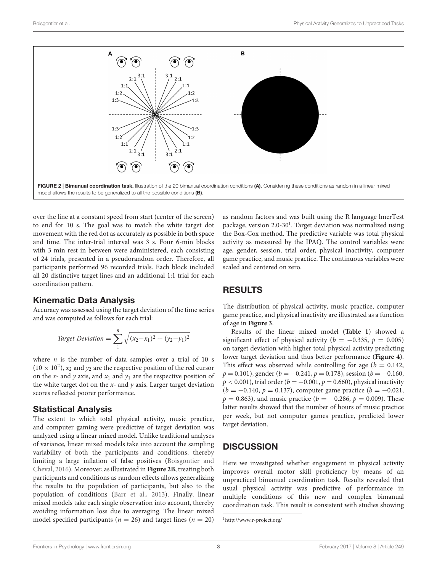

<span id="page-2-0"></span>over the line at a constant speed from start (center of the screen) to end for 10 s. The goal was to match the white target dot movement with the red dot as accurately as possible in both space and time. The inter-trial interval was 3 s. Four 6-min blocks with 3 min rest in between were administered, each consisting of 24 trials, presented in a pseudorandom order. Therefore, all participants performed 96 recorded trials. Each block included all 20 distinctive target lines and an additional 1:1 trial for each coordination pattern.

### Kinematic Data Analysis

Accuracy was assessed using the target deviation of the time series and was computed as follows for each trial:

Target Deviation = 
$$
\sum_{1}^{n} \sqrt{(x_2 - x_1)^2 + (y_2 - y_1)^2}
$$

where  $n$  is the number of data samples over a trial of 10 s  $(10 \times 10^2)$ ,  $x_2$  and  $y_2$  are the respective position of the red cursor on the x- and y axis, and  $x_1$  and  $y_1$  are the respective position of the white target dot on the  $x$ - and  $y$  axis. Larger target deviation scores reflected poorer performance.

# Statistical Analysis

The extent to which total physical activity, music practice, and computer gaming were predictive of target deviation was analyzed using a linear mixed model. Unlike traditional analyses of variance, linear mixed models take into account the sampling variability of both the participants and conditions, thereby limiting a large inflation of false positives [\(Boisgontier and](#page-4-23) [Cheval,](#page-4-23) [2016\)](#page-4-23). Moreover, as illustrated in **[Figure 2B](#page-2-0)**, treating both participants and conditions as random effects allows generalizing the results to the population of participants, but also to the population of conditions [\(Barr et al.,](#page-4-24) [2013\)](#page-4-24). Finally, linear mixed models take each single observation into account, thereby avoiding information loss due to averaging. The linear mixed model specified participants ( $n = 26$ ) and target lines ( $n = 20$ )

as random factors and was built using the R language lmerTest package, version 2.0-30<sup>[1](#page-2-1)</sup>. Target deviation was normalized using the Box-Cox method. The predictive variable was total physical activity as measured by the IPAQ. The control variables were age, gender, session, trial order, physical inactivity, computer game practice, and music practice. The continuous variables were scaled and centered on zero.

# RESULTS

The distribution of physical activity, music practice, computer game practice, and physical inactivity are illustrated as a function of age in **[Figure 3](#page-3-0)**.

Results of the linear mixed model (**[Table 1](#page-3-1)**) showed a significant effect of physical activity ( $b = -0.335$ ,  $p = 0.005$ ) on target deviation with higher total physical activity predicting lower target deviation and thus better performance (**[Figure 4](#page-3-2)**). This effect was observed while controlling for age ( $b = 0.142$ ,  $p = 0.101$ ), gender ( $b = -0.241$ ,  $p = 0.178$ ), session ( $b = -0.160$ ,  $p < 0.001$ ), trial order ( $b = -0.001$ ,  $p = 0.660$ ), physical inactivity  $(b = -0.140, p = 0.137)$ , computer game practice  $(b = -0.021,$  $p = 0.863$ , and music practice ( $b = -0.286$ ,  $p = 0.009$ ). These latter results showed that the number of hours of music practice per week, but not computer games practice, predicted lower target deviation.

# **DISCUSSION**

Here we investigated whether engagement in physical activity improves overall motor skill proficiency by means of an unpracticed bimanual coordination task. Results revealed that usual physical activity was predictive of performance in multiple conditions of this new and complex bimanual coordination task. This result is consistent with studies showing

<span id="page-2-1"></span><sup>1</sup><http://www.r-project.org/>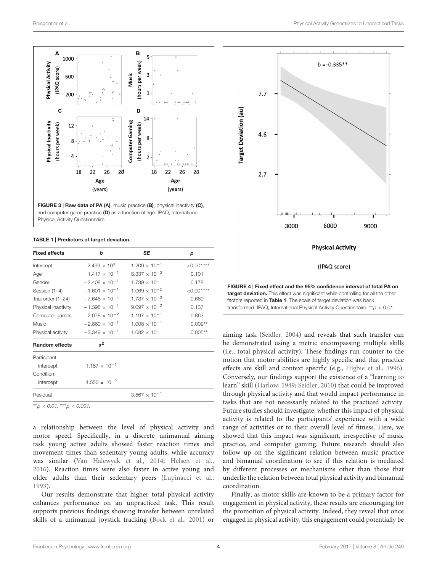

<span id="page-3-0"></span>FIGURE 3 | Raw data of PA (A), music practice (B), physical inactivity (C), and computer game practice (D) as a function of age. IPAQ, International Physical Activity Questionnaire.

#### <span id="page-3-1"></span>TABLE 1 | Predictors of target deviation.

| <b>Fixed effects</b>      | b                               | SE                              | р            |
|---------------------------|---------------------------------|---------------------------------|--------------|
| Intercept                 | $2.499 \times 10^{0}$           | $1.200 \times 10^{-1}$          | $< 0.001***$ |
| Age                       | $1.417 \times 10^{-1}$          | 8.337 $\times$ 10 <sup>-2</sup> | 0.101        |
| Gender                    | $-2.408 \times 10^{-1}$         | $1.739 \times 10^{-1}$          | 0.178        |
| Session (1-4)             | $-1.601 \times 10^{-1}$         | $1.069 \times 10^{-2}$          | $< 0.001***$ |
| Trial order (1-24)        | $-7.646 \times 10^{-4}$         | $1.737 \times 10^{-3}$          | 0.660        |
| Physical inactivity       | $-1.398 \times 10^{-1}$         | $9.097 \times 10^{-2}$          | 0.137        |
| Computer games            | $-2.078 \times 10^{-2}$         | $1.197 \times 10^{-1}$          | 0.863        |
| Music                     | $-2.860 \times 10^{-1}$         | $1.008 \times 10^{-1}$          | $0.009**$    |
| Physical activity         | $-3.349 \times 10^{-1}$         | $1.082 \times 10^{-1}$          | $0.005**$    |
| <b>Random effects</b>     | $\sigma^2$                      |                                 |              |
| Participant               |                                 |                                 |              |
| Intercept                 | $1.187 \times 10^{-1}$          |                                 |              |
| Condition                 |                                 |                                 |              |
| Intercept                 | 4.550 $\times$ 10 <sup>-2</sup> |                                 |              |
| Residual                  |                                 | $3.567 \times 10^{-1}$          |              |
| **n $>0.01$ ***n $>0.001$ |                                 |                                 |              |

∗∗p < 0.01, ∗∗∗p < 0.001.

a relationship between the level of physical activity and motor speed. Specifically, in a discrete unimanual aiming task young active adults showed faster reaction times and movement times than sedentary young adults, while accuracy was similar [\(Van Halewyck et al.,](#page-4-25) [2014;](#page-4-25) [Helsen et al.,](#page-4-12) [2016\)](#page-4-12). Reaction times were also faster in active young and older adults than their sedentary peers [\(Lupinacci et al.,](#page-4-26) [1993\)](#page-4-26).

Our results demonstrate that higher total physical activity enhances performance on an unpracticed task. This result supports previous findings showing transfer between unrelated skills of a unimanual joystick tracking [\(Bock et al.,](#page-4-8) [2001\)](#page-4-8) or



<span id="page-3-2"></span>aiming task [\(Seidler,](#page-4-9) [2004\)](#page-4-9) and reveals that such transfer can be demonstrated using a metric encompassing multiple skills (i.e., total physical activity). These findings run counter to the notion that motor abilities are highly specific and that practice effects are skill and context specific (e.g., [Higbie et al.,](#page-4-5) [1996\)](#page-4-5). Conversely, our findings support the existence of a "learning to learn" skill [\(Harlow,](#page-4-6) [1949;](#page-4-6) [Seidler,](#page-4-7) [2010\)](#page-4-7) that could be improved through physical activity and that would impact performance in tasks that are not necessarily related to the practiced activity. Future studies should investigate, whether this impact of physical activity is related to the participants' experience with a wide range of activities or to their overall level of fitness. Here, we showed that this impact was significant, irrespective of music practice, and computer gaming. Future research should also follow up on the significant relation between music practice and bimanual coordination to see if this relation is mediated by different processes or mechanisms other than those that underlie the relation between total physical activity and bimanual coordination.

Finally, as motor skills are known to be a primary factor for engagement in physical activity, these results are encouraging for the promotion of physical activity. Indeed, they reveal that once engaged in physical activity, this engagement could potentially be